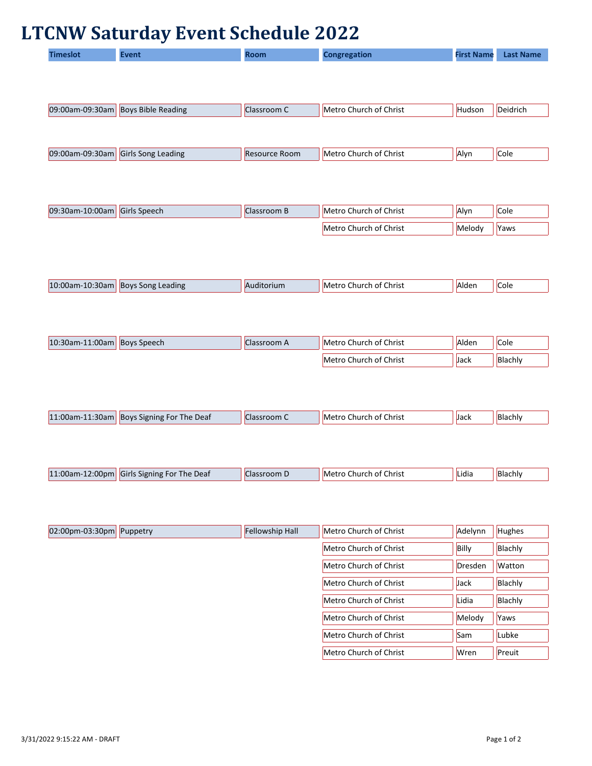## **LTCNW Saturday Event Schedule 2022**

| ïmeslot | <b>Event</b> | <b>Room</b> | <b>Congregation</b> | <b>First Name</b> | <b>Last Name</b> |
|---------|--------------|-------------|---------------------|-------------------|------------------|
|         |              |             |                     |                   |                  |
|         |              |             |                     |                   |                  |

| 09:00am-09:30am Boys Bible Reading | Classroom C | Metro Church of Christ | Hudson | Deidrich |
|------------------------------------|-------------|------------------------|--------|----------|
|                                    |             |                        |        |          |
|                                    |             |                        |        |          |
|                                    |             |                        |        |          |

| 09:00am-09:30am | Girls Song Leading | : Room<br><b>Resource</b> | of Christ ۱<br>-IMetro<br>Church | Alvr | <b>Cole</b> |
|-----------------|--------------------|---------------------------|----------------------------------|------|-------------|
|                 |                    |                           |                                  |      |             |

| $ 09:30$ am-10:00am | Girls Speech | Iassroom B | Metro Church of Christ | Alyn   | Cole |
|---------------------|--------------|------------|------------------------|--------|------|
|                     |              |            | Metro Church of Christ | Melody | Yaws |

| $ 10:00$ am-10:30am | <b>Boys Song Leading</b> | ditorium. | Christ<br>IMetro<br>Church of C | lAlder | Cole |
|---------------------|--------------------------|-----------|---------------------------------|--------|------|
|                     |                          |           |                                 |        |      |

| 10:30am-11:00am | <b>Boys Speech</b> | Llassroom A | Metro Church of Christ | Alden | Cole    |
|-----------------|--------------------|-------------|------------------------|-------|---------|
|                 |                    |             | Metro Church of Christ | Jack  | Blachly |

|  | $\textcolor{red}{\textbf{-1}:}30$ am<br>11:00am-11 | <b>Boys</b><br>: Deaf<br>; Signing For The | oom<br>$\overline{1}$ | <b>Christ</b><br>⊥ot ⊆<br><b>IMetro</b><br>.hurch | Jack | Blachly |
|--|----------------------------------------------------|--------------------------------------------|-----------------------|---------------------------------------------------|------|---------|
|--|----------------------------------------------------|--------------------------------------------|-----------------------|---------------------------------------------------|------|---------|

| 2:00 <sub>pn</sub><br>11:00am-1<br>of Christ<br>Lidia<br>The Deaf<br>Girls<br>lBlachly<br>. Signing For<br>.nurcł<br><b>IMPTr</b><br>roon.<br>.ı d |  |
|----------------------------------------------------------------------------------------------------------------------------------------------------|--|

| $ 02:00$ pm-03:30pm Puppetry | Fellowship Hall | Metro Church of Christ | Adelynn | Hughes        |
|------------------------------|-----------------|------------------------|---------|---------------|
|                              |                 | Metro Church of Christ | Billy   | Blachly       |
|                              |                 | Metro Church of Christ | Dresden | <b>Watton</b> |
|                              |                 | Metro Church of Christ | Jack    | Blachly       |
|                              |                 | Metro Church of Christ | Lidia   | Blachly       |
|                              |                 | Metro Church of Christ | Melody  | Yaws          |
|                              |                 | Metro Church of Christ | Sam     | Lubke         |
|                              |                 | Metro Church of Christ | Wren    | Preuit        |